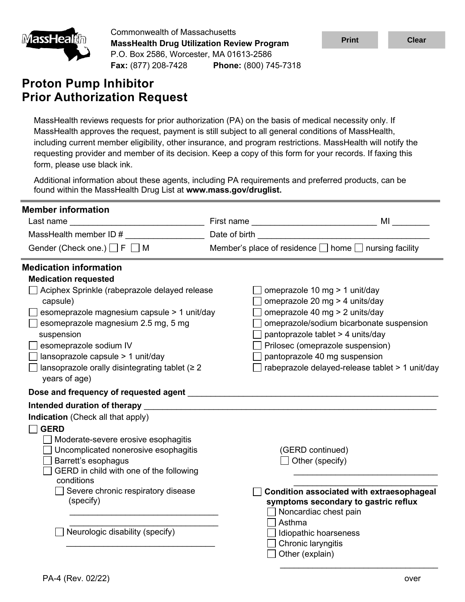

Commonwealth of Massachusetts **MassHealth Drug Utilization Review Program** P.O. Box 2586, Worcester, MA 01613-2586 **Fax:** (877) 208-7428 **Phone:** (800) 745-7318

# **Proton Pump Inhibitor Prior Authorization Request**

MassHealth reviews requests for prior authorization (PA) on the basis of medical necessity only. If MassHealth approves the request, payment is still subject to all general conditions of MassHealth, including current member eligibility, other insurance, and program restrictions. MassHealth will notify the requesting provider and member of its decision. Keep a copy of this form for your records. If faxing this form, please use black ink.

Additional information about these agents, including PA requirements and preferred products, can be found within the MassHealth Drug List at **www.mass.gov/druglist.**

| <b>Member information</b>                            |               |                                                                 |
|------------------------------------------------------|---------------|-----------------------------------------------------------------|
| Last name<br>$\overline{\phantom{a}}$                |               | MI                                                              |
| MassHealth member ID #                               | Date of birth |                                                                 |
| Gender (Check one.) $\Box$ F $\Box$ M                |               | Member's place of residence $\Box$ home $\Box$ nursing facility |
| <b>Medication information</b>                        |               |                                                                 |
| <b>Medication requested</b>                          |               |                                                                 |
| Aciphex Sprinkle (rabeprazole delayed release        |               | omeprazole 10 mg > 1 unit/day                                   |
| capsule)                                             |               | omeprazole 20 mg > 4 units/day                                  |
| esomeprazole magnesium capsule > 1 unit/day          |               | omeprazole 40 mg > 2 units/day                                  |
| esomeprazole magnesium 2.5 mg, 5 mg                  |               | omeprazole/sodium bicarbonate suspension                        |
| suspension                                           |               | pantoprazole tablet > 4 units/day                               |
| esomeprazole sodium IV                               |               | Prilosec (omeprazole suspension)                                |
| lansoprazole capsule > 1 unit/day                    |               | pantoprazole 40 mg suspension                                   |
| lansoprazole orally disintegrating tablet ( $\geq 2$ |               | rabeprazole delayed-release tablet > 1 unit/day                 |
| years of age)                                        |               |                                                                 |
| Dose and frequency of requested agent                |               |                                                                 |
| Intended duration of therapy                         |               |                                                                 |
| Indication (Check all that apply)                    |               |                                                                 |
| <b>GERD</b>                                          |               |                                                                 |
| Moderate-severe erosive esophagitis                  |               |                                                                 |
| Uncomplicated nonerosive esophagitis                 |               | (GERD continued)                                                |
| Barrett's esophagus                                  |               | Other (specify)                                                 |
| GERD in child with one of the following              |               |                                                                 |
| conditions                                           |               |                                                                 |
| Severe chronic respiratory disease                   |               | Condition associated with extraesophageal                       |
| (specify)                                            |               | symptoms secondary to gastric reflux                            |
|                                                      | Asthma        | $\Box$ Noncardiac chest pain                                    |
| Neurologic disability (specify)                      |               | Idiopathic hoarseness                                           |
|                                                      |               | Chronic laryngitis                                              |
|                                                      |               | Other (explain)                                                 |
|                                                      |               |                                                                 |

 $\frac{1}{2}$  , and the set of the set of the set of the set of the set of the set of the set of the set of the set of the set of the set of the set of the set of the set of the set of the set of the set of the set of the set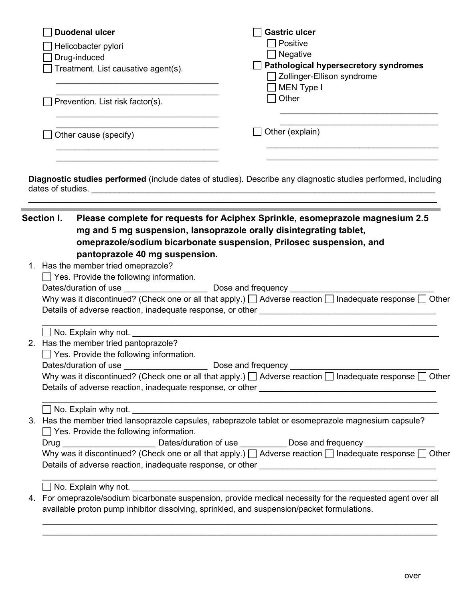| <b>Duodenal ulcer</b>                                                                                                                                                                                                          | <b>Gastric ulcer</b>                                                                                                                                                                                                                                                                                                                                             |
|--------------------------------------------------------------------------------------------------------------------------------------------------------------------------------------------------------------------------------|------------------------------------------------------------------------------------------------------------------------------------------------------------------------------------------------------------------------------------------------------------------------------------------------------------------------------------------------------------------|
| Helicobacter pylori                                                                                                                                                                                                            | Positive                                                                                                                                                                                                                                                                                                                                                         |
| Drug-induced                                                                                                                                                                                                                   | Negative<br>Pathological hypersecretory syndromes                                                                                                                                                                                                                                                                                                                |
| Treatment. List causative agent(s).                                                                                                                                                                                            | Zollinger-Ellison syndrome                                                                                                                                                                                                                                                                                                                                       |
|                                                                                                                                                                                                                                | <b>MEN Type I</b>                                                                                                                                                                                                                                                                                                                                                |
| Prevention. List risk factor(s).                                                                                                                                                                                               | Other                                                                                                                                                                                                                                                                                                                                                            |
| Other cause (specify)                                                                                                                                                                                                          | Other (explain)                                                                                                                                                                                                                                                                                                                                                  |
|                                                                                                                                                                                                                                |                                                                                                                                                                                                                                                                                                                                                                  |
|                                                                                                                                                                                                                                | Diagnostic studies performed (include dates of studies). Describe any diagnostic studies performed, including                                                                                                                                                                                                                                                    |
|                                                                                                                                                                                                                                |                                                                                                                                                                                                                                                                                                                                                                  |
|                                                                                                                                                                                                                                |                                                                                                                                                                                                                                                                                                                                                                  |
| Section I.                                                                                                                                                                                                                     | Please complete for requests for Aciphex Sprinkle, esomeprazole magnesium 2.5<br>mg and 5 mg suspension, lansoprazole orally disintegrating tablet,                                                                                                                                                                                                              |
| pantoprazole 40 mg suspension.<br>1. Has the member tried omeprazole?<br>$\Box$ Yes. Provide the following information.                                                                                                        | omeprazole/sodium bicarbonate suspension, Prilosec suspension, and<br>Why was it discontinued? (Check one or all that apply.) $\Box$ Adverse reaction $\Box$ Inadequate response $\Box$ Other                                                                                                                                                                    |
| No. Explain why not. The contract of the contract of the contract of the contract of the contract of the contract of the contract of the contract of the contract of the contract of the contract of the contract of the contr |                                                                                                                                                                                                                                                                                                                                                                  |
| 2. Has the member tried pantoprazole?                                                                                                                                                                                          |                                                                                                                                                                                                                                                                                                                                                                  |
| $\Box$ Yes. Provide the following information.                                                                                                                                                                                 |                                                                                                                                                                                                                                                                                                                                                                  |
|                                                                                                                                                                                                                                |                                                                                                                                                                                                                                                                                                                                                                  |
|                                                                                                                                                                                                                                |                                                                                                                                                                                                                                                                                                                                                                  |
|                                                                                                                                                                                                                                |                                                                                                                                                                                                                                                                                                                                                                  |
|                                                                                                                                                                                                                                | 3. Has the member tried lansoprazole capsules, rabeprazole tablet or esomeprazole magnesium capsule?                                                                                                                                                                                                                                                             |
| $\Box$ Yes. Provide the following information.                                                                                                                                                                                 |                                                                                                                                                                                                                                                                                                                                                                  |
|                                                                                                                                                                                                                                | Why was it discontinued? (Check one or all that apply.) $\Box$ Adverse reaction $\Box$ Inadequate response $\Box$ Other<br>Drug ________________________________Dates/duration of use ______________Dose and frequency ______________<br>Why was it discontinued? (Check one or all that apply.) $\Box$ Adverse reaction $\Box$ Inadequate response $\Box$ Other |

4. For omeprazole/sodium bicarbonate suspension, provide medical necessity for the requested agent over all available proton pump inhibitor dissolving, sprinkled, and suspension/packet formulations.

 $\_$  , and the set of the set of the set of the set of the set of the set of the set of the set of the set of the set of the set of the set of the set of the set of the set of the set of the set of the set of the set of th  $\_$  , and the set of the set of the set of the set of the set of the set of the set of the set of the set of the set of the set of the set of the set of the set of the set of the set of the set of the set of the set of th